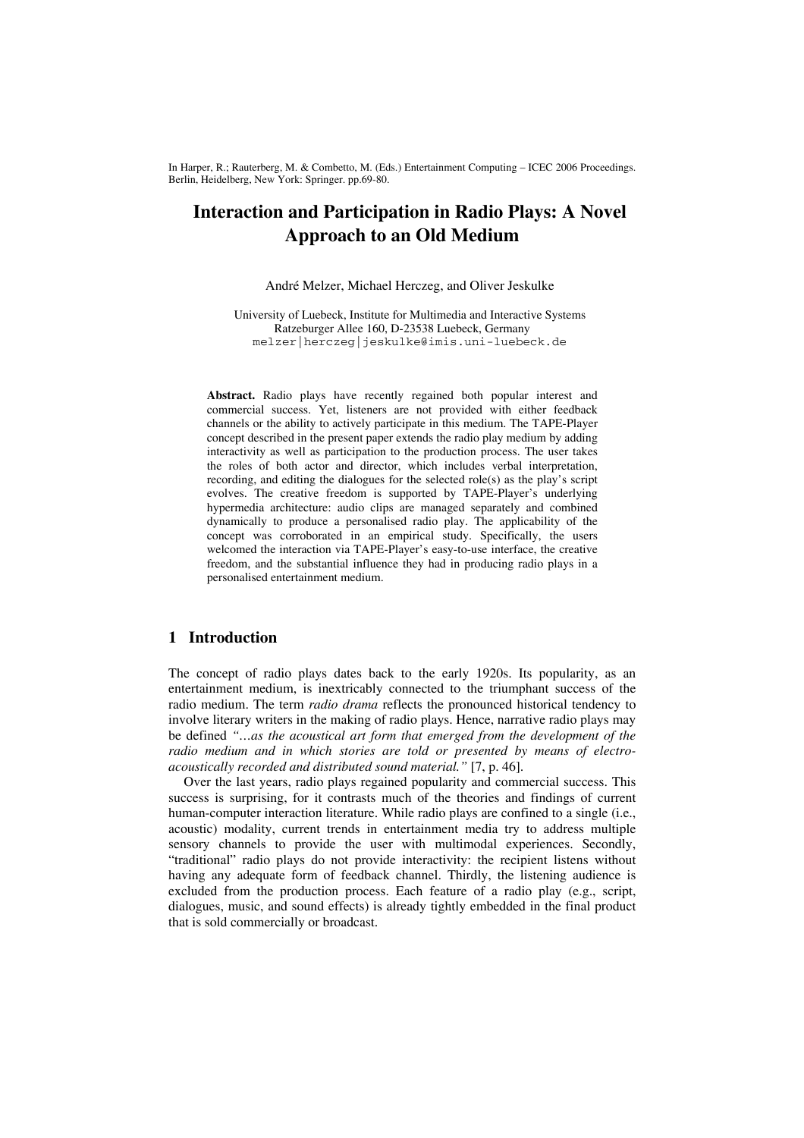In Harper, R.; Rauterberg, M. & Combetto, M. (Eds.) Entertainment Computing – ICEC 2006 Proceedings. Berlin, Heidelberg, New York: Springer. pp.69-80.

# **Interaction and Participation in Radio Plays: A Novel Approach to an Old Medium**

André Melzer, Michael Herczeg, and Oliver Jeskulke

University of Luebeck, Institute for Multimedia and Interactive Systems Ratzeburger Allee 160, D-23538 Luebeck, Germany melzer|herczeg|jeskulke@imis.uni-luebeck.de

**Abstract.** Radio plays have recently regained both popular interest and commercial success. Yet, listeners are not provided with either feedback channels or the ability to actively participate in this medium. The TAPE-Player concept described in the present paper extends the radio play medium by adding interactivity as well as participation to the production process. The user takes the roles of both actor and director, which includes verbal interpretation, recording, and editing the dialogues for the selected role(s) as the play's script evolves. The creative freedom is supported by TAPE-Player's underlying hypermedia architecture: audio clips are managed separately and combined dynamically to produce a personalised radio play. The applicability of the concept was corroborated in an empirical study. Specifically, the users welcomed the interaction via TAPE-Player's easy-to-use interface, the creative freedom, and the substantial influence they had in producing radio plays in a personalised entertainment medium.

# **1 Introduction**

The concept of radio plays dates back to the early 1920s. Its popularity, as an entertainment medium, is inextricably connected to the triumphant success of the radio medium. The term *radio drama* reflects the pronounced historical tendency to involve literary writers in the making of radio plays. Hence, narrative radio plays may be defined *"…as the acoustical art form that emerged from the development of the radio medium and in which stories are told or presented by means of electroacoustically recorded and distributed sound material."* [7, p. 46].

Over the last years, radio plays regained popularity and commercial success. This success is surprising, for it contrasts much of the theories and findings of current human-computer interaction literature. While radio plays are confined to a single (i.e., acoustic) modality, current trends in entertainment media try to address multiple sensory channels to provide the user with multimodal experiences. Secondly, "traditional" radio plays do not provide interactivity: the recipient listens without having any adequate form of feedback channel. Thirdly, the listening audience is excluded from the production process. Each feature of a radio play (e.g., script, dialogues, music, and sound effects) is already tightly embedded in the final product that is sold commercially or broadcast.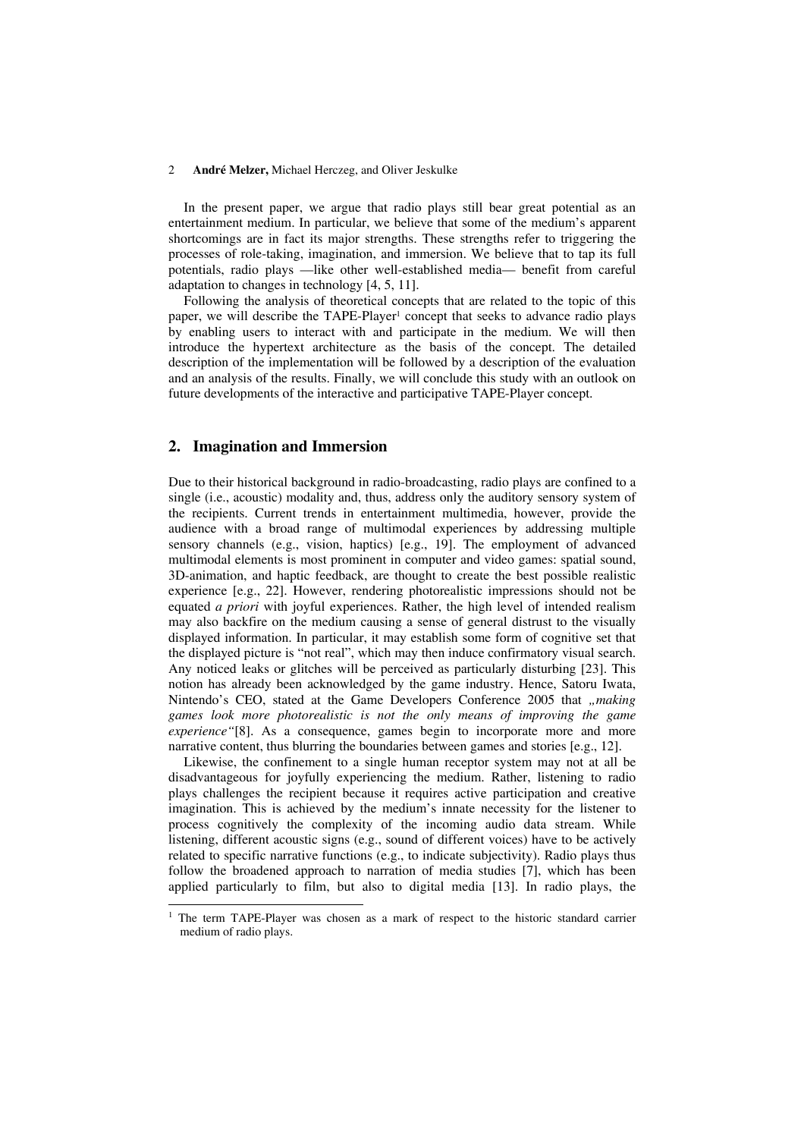In the present paper, we argue that radio plays still bear great potential as an entertainment medium. In particular, we believe that some of the medium's apparent shortcomings are in fact its major strengths. These strengths refer to triggering the processes of role-taking, imagination, and immersion. We believe that to tap its full potentials, radio plays —like other well-established media— benefit from careful adaptation to changes in technology [4, 5, 11].

Following the analysis of theoretical concepts that are related to the topic of this paper, we will describe the TAPE-Player<sup>1</sup> concept that seeks to advance radio plays by enabling users to interact with and participate in the medium. We will then introduce the hypertext architecture as the basis of the concept. The detailed description of the implementation will be followed by a description of the evaluation and an analysis of the results. Finally, we will conclude this study with an outlook on future developments of the interactive and participative TAPE-Player concept.

## **2. Imagination and Immersion**

l

Due to their historical background in radio-broadcasting, radio plays are confined to a single (i.e., acoustic) modality and, thus, address only the auditory sensory system of the recipients. Current trends in entertainment multimedia, however, provide the audience with a broad range of multimodal experiences by addressing multiple sensory channels (e.g., vision, haptics) [e.g., 19]. The employment of advanced multimodal elements is most prominent in computer and video games: spatial sound, 3D-animation, and haptic feedback, are thought to create the best possible realistic experience [e.g., 22]. However, rendering photorealistic impressions should not be equated *a priori* with joyful experiences. Rather, the high level of intended realism may also backfire on the medium causing a sense of general distrust to the visually displayed information. In particular, it may establish some form of cognitive set that the displayed picture is "not real", which may then induce confirmatory visual search. Any noticed leaks or glitches will be perceived as particularly disturbing [23]. This notion has already been acknowledged by the game industry. Hence, Satoru Iwata, Nintendo's CEO, stated at the Game Developers Conference 2005 that "making *games look more photorealistic is not the only means of improving the game experience"*[8]. As a consequence, games begin to incorporate more and more narrative content, thus blurring the boundaries between games and stories [e.g., 12].

Likewise, the confinement to a single human receptor system may not at all be disadvantageous for joyfully experiencing the medium. Rather, listening to radio plays challenges the recipient because it requires active participation and creative imagination. This is achieved by the medium's innate necessity for the listener to process cognitively the complexity of the incoming audio data stream. While listening, different acoustic signs (e.g., sound of different voices) have to be actively related to specific narrative functions (e.g., to indicate subjectivity). Radio plays thus follow the broadened approach to narration of media studies [7], which has been applied particularly to film, but also to digital media [13]. In radio plays, the

<sup>&</sup>lt;sup>1</sup> The term TAPE-Player was chosen as a mark of respect to the historic standard carrier medium of radio plays.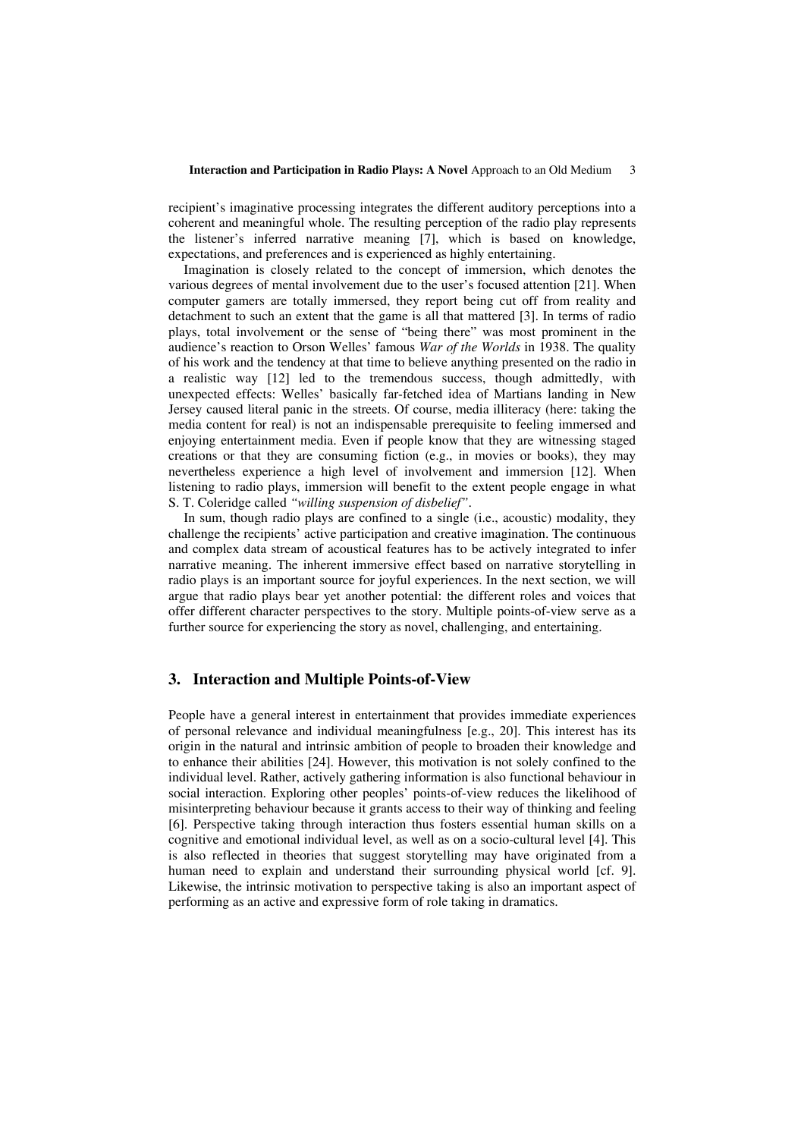recipient's imaginative processing integrates the different auditory perceptions into a coherent and meaningful whole. The resulting perception of the radio play represents the listener's inferred narrative meaning [7], which is based on knowledge, expectations, and preferences and is experienced as highly entertaining.

Imagination is closely related to the concept of immersion, which denotes the various degrees of mental involvement due to the user's focused attention [21]. When computer gamers are totally immersed, they report being cut off from reality and detachment to such an extent that the game is all that mattered [3]. In terms of radio plays, total involvement or the sense of "being there" was most prominent in the audience's reaction to Orson Welles' famous *War of the Worlds* in 1938. The quality of his work and the tendency at that time to believe anything presented on the radio in a realistic way [12] led to the tremendous success, though admittedly, with unexpected effects: Welles' basically far-fetched idea of Martians landing in New Jersey caused literal panic in the streets. Of course, media illiteracy (here: taking the media content for real) is not an indispensable prerequisite to feeling immersed and enjoying entertainment media. Even if people know that they are witnessing staged creations or that they are consuming fiction (e.g., in movies or books), they may nevertheless experience a high level of involvement and immersion [12]. When listening to radio plays, immersion will benefit to the extent people engage in what S. T. Coleridge called *"willing suspension of disbelief"*.

In sum, though radio plays are confined to a single (i.e., acoustic) modality, they challenge the recipients' active participation and creative imagination. The continuous and complex data stream of acoustical features has to be actively integrated to infer narrative meaning. The inherent immersive effect based on narrative storytelling in radio plays is an important source for joyful experiences. In the next section, we will argue that radio plays bear yet another potential: the different roles and voices that offer different character perspectives to the story. Multiple points-of-view serve as a further source for experiencing the story as novel, challenging, and entertaining.

# **3. Interaction and Multiple Points-of-View**

People have a general interest in entertainment that provides immediate experiences of personal relevance and individual meaningfulness [e.g., 20]. This interest has its origin in the natural and intrinsic ambition of people to broaden their knowledge and to enhance their abilities [24]. However, this motivation is not solely confined to the individual level. Rather, actively gathering information is also functional behaviour in social interaction. Exploring other peoples' points-of-view reduces the likelihood of misinterpreting behaviour because it grants access to their way of thinking and feeling [6]. Perspective taking through interaction thus fosters essential human skills on a cognitive and emotional individual level, as well as on a socio-cultural level [4]. This is also reflected in theories that suggest storytelling may have originated from a human need to explain and understand their surrounding physical world [cf. 9]. Likewise, the intrinsic motivation to perspective taking is also an important aspect of performing as an active and expressive form of role taking in dramatics.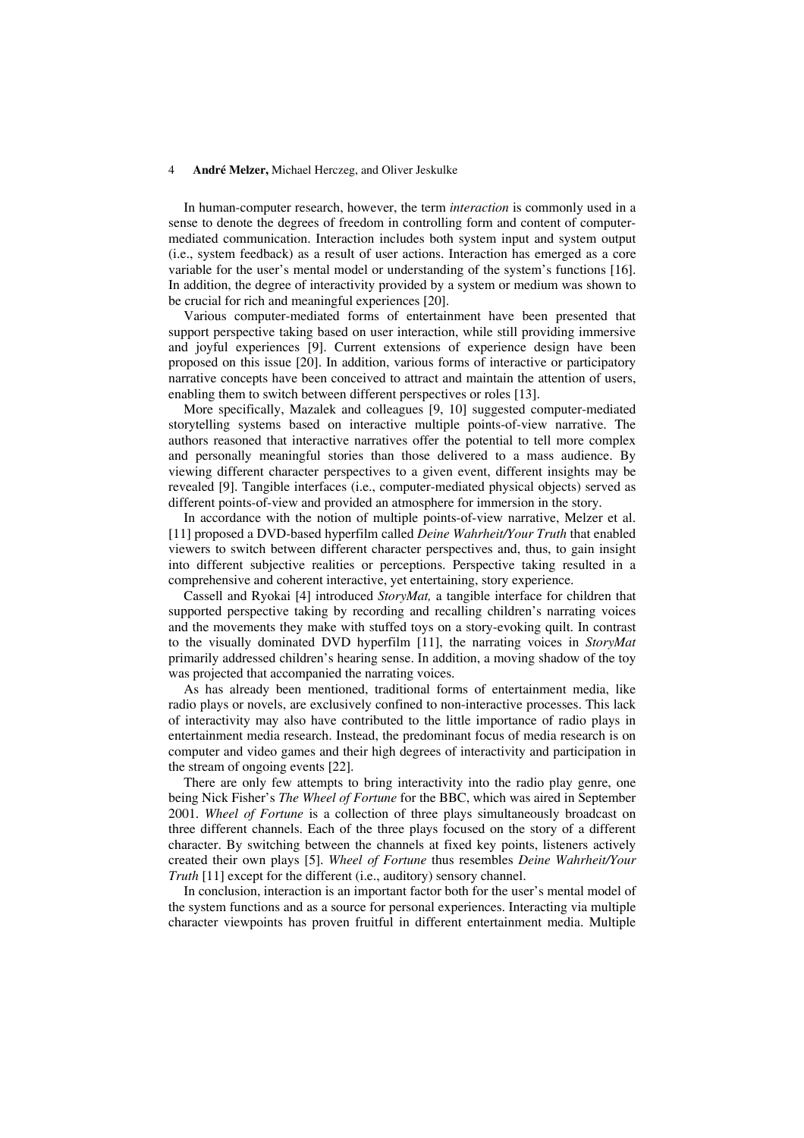In human-computer research, however, the term *interaction* is commonly used in a sense to denote the degrees of freedom in controlling form and content of computermediated communication. Interaction includes both system input and system output (i.e., system feedback) as a result of user actions. Interaction has emerged as a core variable for the user's mental model or understanding of the system's functions [16]. In addition, the degree of interactivity provided by a system or medium was shown to be crucial for rich and meaningful experiences [20].

Various computer-mediated forms of entertainment have been presented that support perspective taking based on user interaction, while still providing immersive and joyful experiences [9]. Current extensions of experience design have been proposed on this issue [20]. In addition, various forms of interactive or participatory narrative concepts have been conceived to attract and maintain the attention of users, enabling them to switch between different perspectives or roles [13].

More specifically, Mazalek and colleagues [9, 10] suggested computer-mediated storytelling systems based on interactive multiple points-of-view narrative. The authors reasoned that interactive narratives offer the potential to tell more complex and personally meaningful stories than those delivered to a mass audience. By viewing different character perspectives to a given event, different insights may be revealed [9]. Tangible interfaces (i.e., computer-mediated physical objects) served as different points-of-view and provided an atmosphere for immersion in the story.

In accordance with the notion of multiple points-of-view narrative, Melzer et al. [11] proposed a DVD-based hyperfilm called *Deine Wahrheit/Your Truth* that enabled viewers to switch between different character perspectives and, thus, to gain insight into different subjective realities or perceptions. Perspective taking resulted in a comprehensive and coherent interactive, yet entertaining, story experience.

Cassell and Ryokai [4] introduced *StoryMat,* a tangible interface for children that supported perspective taking by recording and recalling children's narrating voices and the movements they make with stuffed toys on a story-evoking quilt. In contrast to the visually dominated DVD hyperfilm [11], the narrating voices in *StoryMat*  primarily addressed children's hearing sense. In addition, a moving shadow of the toy was projected that accompanied the narrating voices.

As has already been mentioned, traditional forms of entertainment media, like radio plays or novels, are exclusively confined to non-interactive processes. This lack of interactivity may also have contributed to the little importance of radio plays in entertainment media research. Instead, the predominant focus of media research is on computer and video games and their high degrees of interactivity and participation in the stream of ongoing events [22].

There are only few attempts to bring interactivity into the radio play genre, one being Nick Fisher's *The Wheel of Fortune* for the BBC, which was aired in September 2001. *Wheel of Fortune* is a collection of three plays simultaneously broadcast on three different channels. Each of the three plays focused on the story of a different character. By switching between the channels at fixed key points, listeners actively created their own plays [5]. *Wheel of Fortune* thus resembles *Deine Wahrheit/Your Truth* [11] except for the different (i.e., auditory) sensory channel.

In conclusion, interaction is an important factor both for the user's mental model of the system functions and as a source for personal experiences. Interacting via multiple character viewpoints has proven fruitful in different entertainment media. Multiple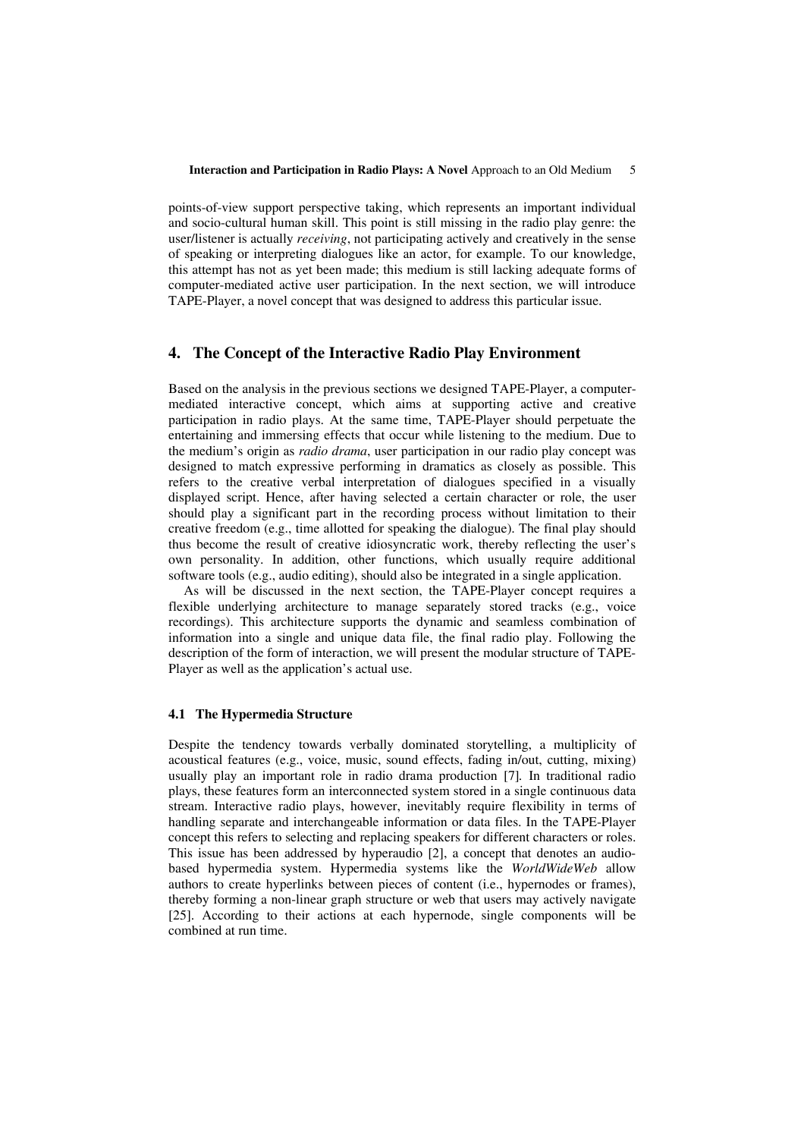points-of-view support perspective taking, which represents an important individual and socio-cultural human skill. This point is still missing in the radio play genre: the user/listener is actually *receiving*, not participating actively and creatively in the sense of speaking or interpreting dialogues like an actor, for example. To our knowledge, this attempt has not as yet been made; this medium is still lacking adequate forms of computer-mediated active user participation. In the next section, we will introduce TAPE-Player, a novel concept that was designed to address this particular issue.

# **4. The Concept of the Interactive Radio Play Environment**

Based on the analysis in the previous sections we designed TAPE-Player, a computermediated interactive concept, which aims at supporting active and creative participation in radio plays. At the same time, TAPE-Player should perpetuate the entertaining and immersing effects that occur while listening to the medium. Due to the medium's origin as *radio drama*, user participation in our radio play concept was designed to match expressive performing in dramatics as closely as possible. This refers to the creative verbal interpretation of dialogues specified in a visually displayed script. Hence, after having selected a certain character or role, the user should play a significant part in the recording process without limitation to their creative freedom (e.g., time allotted for speaking the dialogue). The final play should thus become the result of creative idiosyncratic work, thereby reflecting the user's own personality. In addition, other functions, which usually require additional software tools (e.g., audio editing), should also be integrated in a single application.

As will be discussed in the next section, the TAPE-Player concept requires a flexible underlying architecture to manage separately stored tracks (e.g., voice recordings). This architecture supports the dynamic and seamless combination of information into a single and unique data file, the final radio play. Following the description of the form of interaction, we will present the modular structure of TAPE-Player as well as the application's actual use.

## **4.1 The Hypermedia Structure**

Despite the tendency towards verbally dominated storytelling, a multiplicity of acoustical features (e.g., voice, music, sound effects, fading in/out, cutting, mixing) usually play an important role in radio drama production [7]*.* In traditional radio plays, these features form an interconnected system stored in a single continuous data stream. Interactive radio plays, however, inevitably require flexibility in terms of handling separate and interchangeable information or data files. In the TAPE-Player concept this refers to selecting and replacing speakers for different characters or roles. This issue has been addressed by hyperaudio [2], a concept that denotes an audiobased hypermedia system. Hypermedia systems like the *WorldWideWeb* allow authors to create hyperlinks between pieces of content (i.e., hypernodes or frames), thereby forming a non-linear graph structure or web that users may actively navigate [25]. According to their actions at each hypernode, single components will be combined at run time.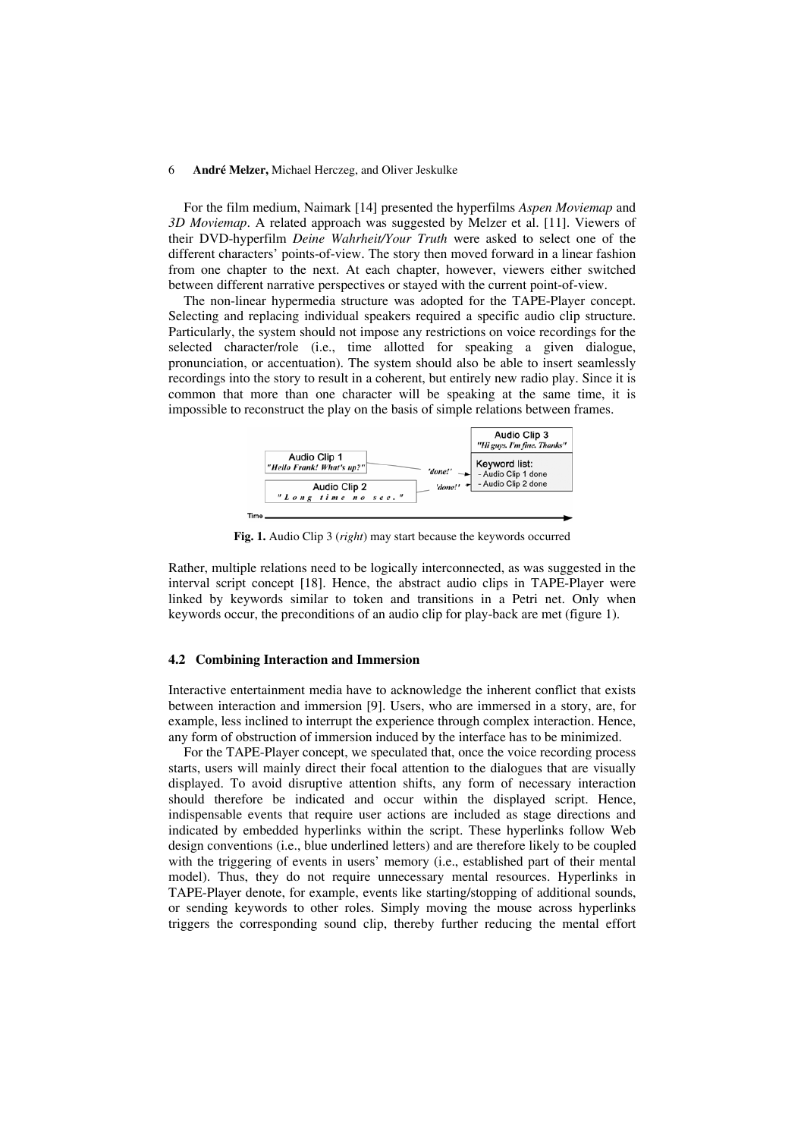For the film medium, Naimark [14] presented the hyperfilms *Aspen Moviemap* and *3D Moviemap*. A related approach was suggested by Melzer et al. [11]. Viewers of their DVD-hyperfilm *Deine Wahrheit/Your Truth* were asked to select one of the different characters' points-of-view. The story then moved forward in a linear fashion from one chapter to the next. At each chapter, however, viewers either switched between different narrative perspectives or stayed with the current point-of-view.

The non-linear hypermedia structure was adopted for the TAPE-Player concept. Selecting and replacing individual speakers required a specific audio clip structure. Particularly, the system should not impose any restrictions on voice recordings for the selected character/role (i.e., time allotted for speaking a given dialogue, pronunciation, or accentuation). The system should also be able to insert seamlessly recordings into the story to result in a coherent, but entirely new radio play. Since it is common that more than one character will be speaking at the same time, it is impossible to reconstruct the play on the basis of simple relations between frames.



**Fig. 1.** Audio Clip 3 (*right*) may start because the keywords occurred

Rather, multiple relations need to be logically interconnected, as was suggested in the interval script concept [18]. Hence, the abstract audio clips in TAPE-Player were linked by keywords similar to token and transitions in a Petri net. Only when keywords occur, the preconditions of an audio clip for play-back are met (figure 1).

## **4.2 Combining Interaction and Immersion**

Interactive entertainment media have to acknowledge the inherent conflict that exists between interaction and immersion [9]. Users, who are immersed in a story, are, for example, less inclined to interrupt the experience through complex interaction. Hence, any form of obstruction of immersion induced by the interface has to be minimized.

For the TAPE-Player concept, we speculated that, once the voice recording process starts, users will mainly direct their focal attention to the dialogues that are visually displayed. To avoid disruptive attention shifts, any form of necessary interaction should therefore be indicated and occur within the displayed script. Hence, indispensable events that require user actions are included as stage directions and indicated by embedded hyperlinks within the script. These hyperlinks follow Web design conventions (i.e., blue underlined letters) and are therefore likely to be coupled with the triggering of events in users' memory (i.e., established part of their mental model). Thus, they do not require unnecessary mental resources. Hyperlinks in TAPE-Player denote, for example, events like starting/stopping of additional sounds, or sending keywords to other roles. Simply moving the mouse across hyperlinks triggers the corresponding sound clip, thereby further reducing the mental effort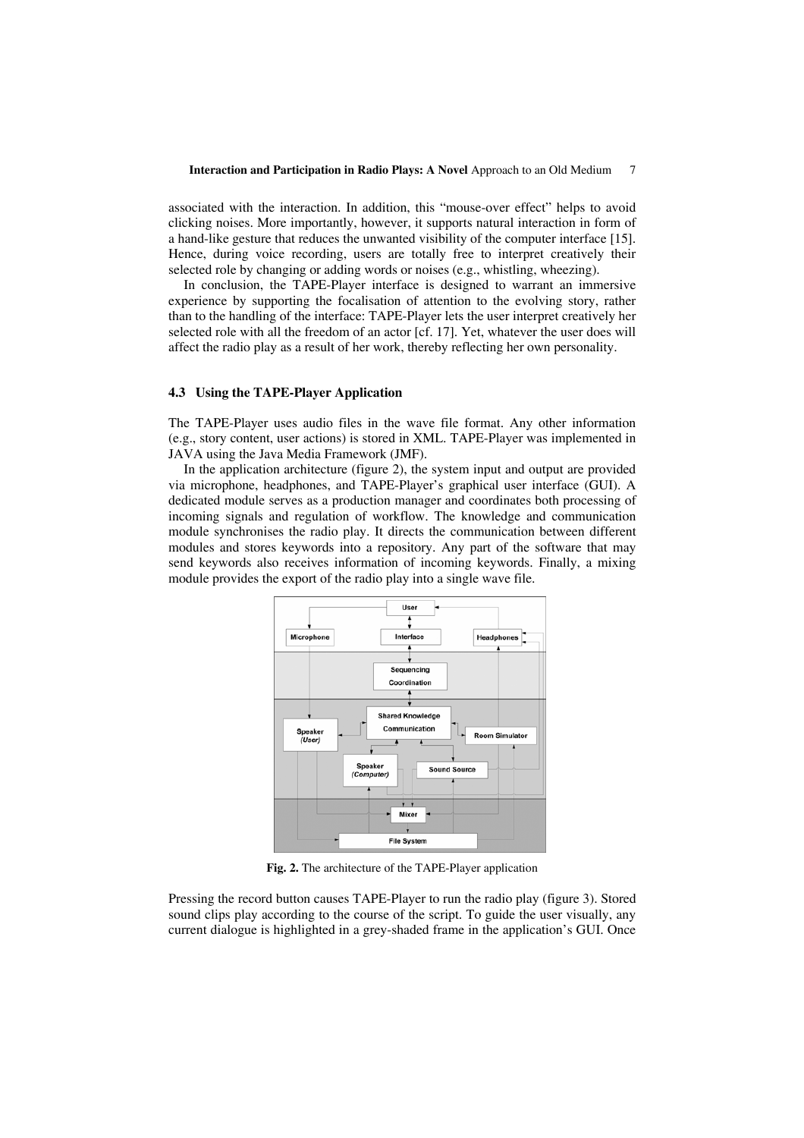associated with the interaction. In addition, this "mouse-over effect" helps to avoid clicking noises. More importantly, however, it supports natural interaction in form of a hand-like gesture that reduces the unwanted visibility of the computer interface [15]. Hence, during voice recording, users are totally free to interpret creatively their selected role by changing or adding words or noises (e.g., whistling, wheezing).

In conclusion, the TAPE-Player interface is designed to warrant an immersive experience by supporting the focalisation of attention to the evolving story, rather than to the handling of the interface: TAPE-Player lets the user interpret creatively her selected role with all the freedom of an actor [cf. 17]. Yet, whatever the user does will affect the radio play as a result of her work, thereby reflecting her own personality.

#### **4.3 Using the TAPE-Player Application**

The TAPE-Player uses audio files in the wave file format. Any other information (e.g., story content, user actions) is stored in XML. TAPE-Player was implemented in JAVA using the Java Media Framework (JMF).

In the application architecture (figure 2), the system input and output are provided via microphone, headphones, and TAPE-Player's graphical user interface (GUI). A dedicated module serves as a production manager and coordinates both processing of incoming signals and regulation of workflow. The knowledge and communication module synchronises the radio play. It directs the communication between different modules and stores keywords into a repository. Any part of the software that may send keywords also receives information of incoming keywords. Finally, a mixing module provides the export of the radio play into a single wave file.



**Fig. 2.** The architecture of the TAPE-Player application

Pressing the record button causes TAPE-Player to run the radio play (figure 3). Stored sound clips play according to the course of the script. To guide the user visually, any current dialogue is highlighted in a grey-shaded frame in the application's GUI. Once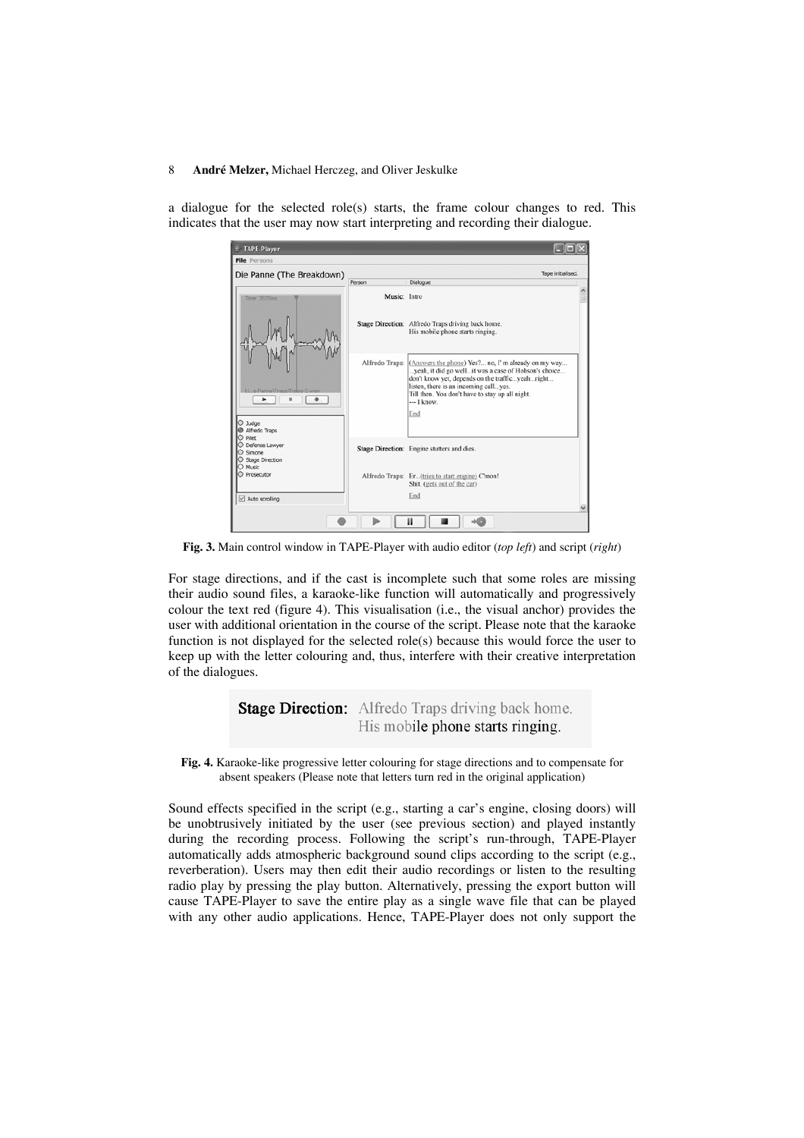a dialogue for the selected role(s) starts, the frame colour changes to red. This indicates that the user may now start interpreting and recording their dialogue.

| File Persons<br>Die Panne (The Breakdown)<br>Dialogue<br>Person<br>Music: Intro<br>Time: 3635ms<br>Stage Direction: Alfredo Traps driving back home.<br>His mobile phone starts ringing.<br>Alfredo Traps: (Answers the phone) Yes? no, I' m already on my way<br>yeah, it did go wellit was a case of Hobson's choice<br>don't know yet, depends on the trafficyeahright<br>listen, there is an incoming callyes.<br>LL_e Panne\Traps\Traps-3.way<br>Till then. You don't have to stay up all night.<br>$-$ I know.<br>End<br>O Judge<br>Alfredo Traps<br>Pilet<br>Defense Lawver<br>Stage Direction: Engine stutters and dies.<br>Simone<br>Stage Direction<br>Music | TAPE-Player |                                                 |  |
|------------------------------------------------------------------------------------------------------------------------------------------------------------------------------------------------------------------------------------------------------------------------------------------------------------------------------------------------------------------------------------------------------------------------------------------------------------------------------------------------------------------------------------------------------------------------------------------------------------------------------------------------------------------------|-------------|-------------------------------------------------|--|
|                                                                                                                                                                                                                                                                                                                                                                                                                                                                                                                                                                                                                                                                        |             |                                                 |  |
|                                                                                                                                                                                                                                                                                                                                                                                                                                                                                                                                                                                                                                                                        |             | Tape initialised.                               |  |
|                                                                                                                                                                                                                                                                                                                                                                                                                                                                                                                                                                                                                                                                        |             |                                                 |  |
|                                                                                                                                                                                                                                                                                                                                                                                                                                                                                                                                                                                                                                                                        |             |                                                 |  |
|                                                                                                                                                                                                                                                                                                                                                                                                                                                                                                                                                                                                                                                                        |             |                                                 |  |
|                                                                                                                                                                                                                                                                                                                                                                                                                                                                                                                                                                                                                                                                        |             |                                                 |  |
|                                                                                                                                                                                                                                                                                                                                                                                                                                                                                                                                                                                                                                                                        |             |                                                 |  |
| Shit. (gets out of the car)                                                                                                                                                                                                                                                                                                                                                                                                                                                                                                                                                                                                                                            | Prosecutor  | Alfredo Traps: Er(tries to start engine) C'mon! |  |
| End<br>Auto scrolling                                                                                                                                                                                                                                                                                                                                                                                                                                                                                                                                                                                                                                                  |             |                                                 |  |
|                                                                                                                                                                                                                                                                                                                                                                                                                                                                                                                                                                                                                                                                        |             |                                                 |  |

**Fig. 3.** Main control window in TAPE-Player with audio editor (*top left*) and script (*right*)

For stage directions, and if the cast is incomplete such that some roles are missing their audio sound files, a karaoke-like function will automatically and progressively colour the text red (figure 4). This visualisation (i.e., the visual anchor) provides the user with additional orientation in the course of the script. Please note that the karaoke function is not displayed for the selected role(s) because this would force the user to keep up with the letter colouring and, thus, interfere with their creative interpretation of the dialogues.

> **Stage Direction:** Alfredo Traps driving back home. His mobile phone starts ringing.

**Fig. 4.** Karaoke-like progressive letter colouring for stage directions and to compensate for absent speakers (Please note that letters turn red in the original application)

Sound effects specified in the script (e.g., starting a car's engine, closing doors) will be unobtrusively initiated by the user (see previous section) and played instantly during the recording process. Following the script's run-through, TAPE-Player automatically adds atmospheric background sound clips according to the script (e.g., reverberation). Users may then edit their audio recordings or listen to the resulting radio play by pressing the play button. Alternatively, pressing the export button will cause TAPE-Player to save the entire play as a single wave file that can be played with any other audio applications. Hence, TAPE-Player does not only support the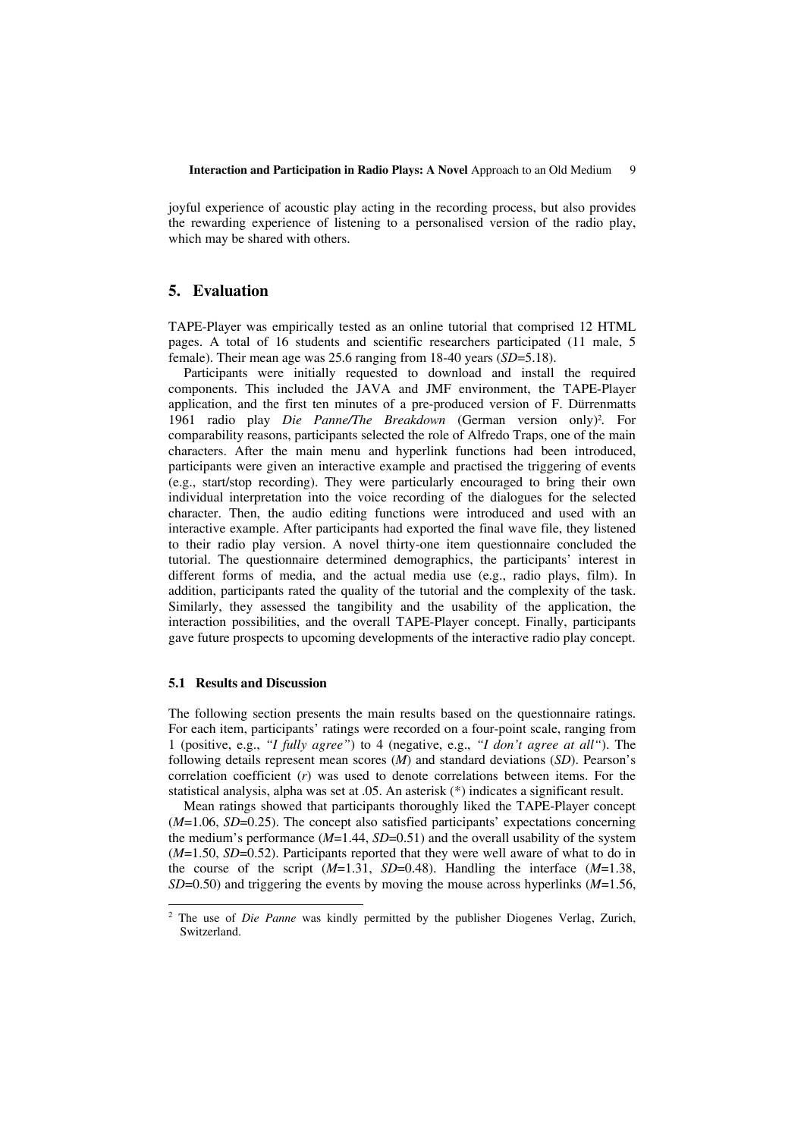joyful experience of acoustic play acting in the recording process, but also provides the rewarding experience of listening to a personalised version of the radio play, which may be shared with others.

# **5. Evaluation**

TAPE-Player was empirically tested as an online tutorial that comprised 12 HTML pages. A total of 16 students and scientific researchers participated (11 male, 5 female). Their mean age was 25.6 ranging from 18-40 years (*SD*=5.18).

Participants were initially requested to download and install the required components. This included the JAVA and JMF environment, the TAPE-Player application, and the first ten minutes of a pre-produced version of F. Dürrenmatts 1961 radio play *Die Panne/The Breakdown* (German version only)2*.* For comparability reasons, participants selected the role of Alfredo Traps, one of the main characters. After the main menu and hyperlink functions had been introduced, participants were given an interactive example and practised the triggering of events (e.g., start/stop recording). They were particularly encouraged to bring their own individual interpretation into the voice recording of the dialogues for the selected character. Then, the audio editing functions were introduced and used with an interactive example. After participants had exported the final wave file, they listened to their radio play version. A novel thirty-one item questionnaire concluded the tutorial. The questionnaire determined demographics, the participants' interest in different forms of media, and the actual media use (e.g., radio plays, film). In addition, participants rated the quality of the tutorial and the complexity of the task. Similarly, they assessed the tangibility and the usability of the application, the interaction possibilities, and the overall TAPE-Player concept. Finally, participants gave future prospects to upcoming developments of the interactive radio play concept.

## **5.1 Results and Discussion**

l

The following section presents the main results based on the questionnaire ratings. For each item, participants' ratings were recorded on a four-point scale, ranging from 1 (positive, e.g., *"I fully agree"*) to 4 (negative, e.g., *"I don't agree at all"*). The following details represent mean scores (*M*) and standard deviations (*SD*). Pearson's correlation coefficient (*r*) was used to denote correlations between items. For the statistical analysis, alpha was set at .05. An asterisk (\*) indicates a significant result.

Mean ratings showed that participants thoroughly liked the TAPE-Player concept (*M*=1.06, *SD*=0.25). The concept also satisfied participants' expectations concerning the medium's performance  $(M=1.44, SD=0.51)$  and the overall usability of the system (*M*=1.50, *SD*=0.52). Participants reported that they were well aware of what to do in the course of the script  $(M=1.31, SD=0.48)$ . Handling the interface  $(M=1.38,$ *SD*=0.50) and triggering the events by moving the mouse across hyperlinks (*M*=1.56,

<sup>2</sup> The use of *Die Panne* was kindly permitted by the publisher Diogenes Verlag, Zurich, Switzerland.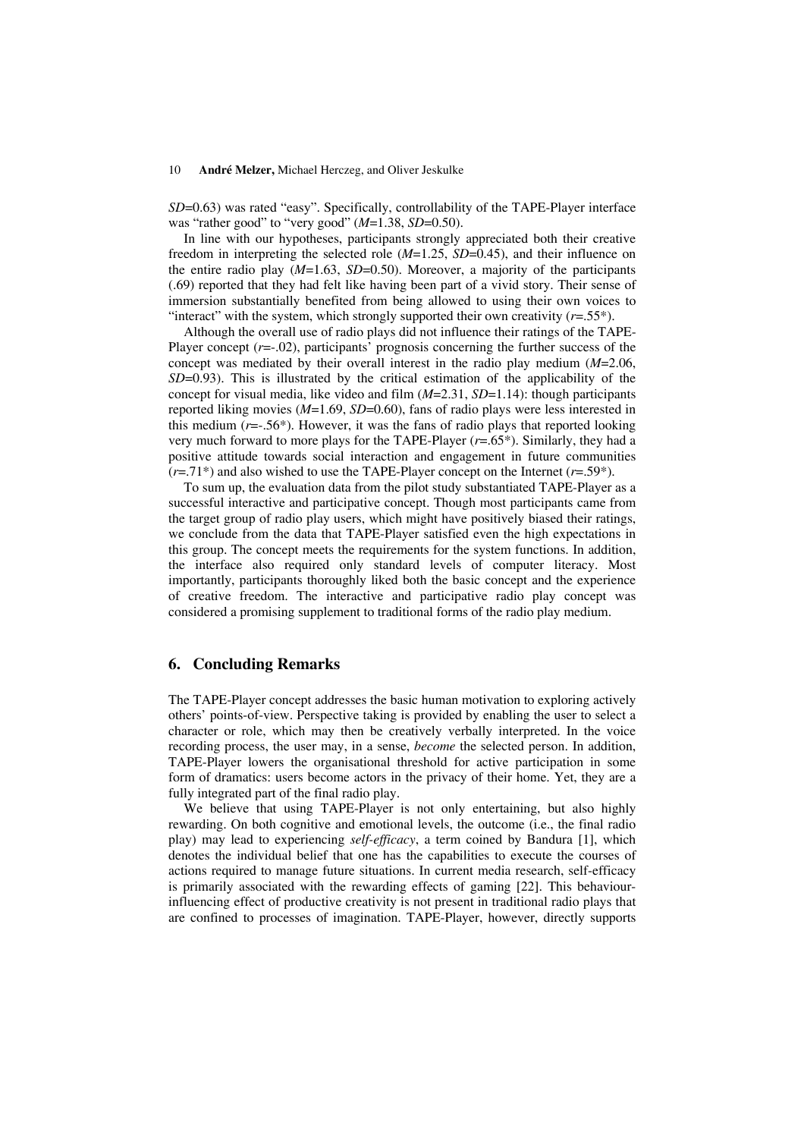*SD*=0.63) was rated "easy". Specifically, controllability of the TAPE-Player interface was "rather good" to "very good" (*M*=1.38, *SD*=0.50).

In line with our hypotheses, participants strongly appreciated both their creative freedom in interpreting the selected role (*M*=1.25, *SD*=0.45), and their influence on the entire radio play  $(M=1.63, SD=0.50)$ . Moreover, a majority of the participants (.69) reported that they had felt like having been part of a vivid story. Their sense of immersion substantially benefited from being allowed to using their own voices to "interact" with the system, which strongly supported their own creativity  $(r=.55*)$ .

Although the overall use of radio plays did not influence their ratings of the TAPE-Player concept ( $r = 0.02$ ), participants' prognosis concerning the further success of the concept was mediated by their overall interest in the radio play medium (*M*=2.06, *SD*=0.93). This is illustrated by the critical estimation of the applicability of the concept for visual media, like video and film (*M*=2.31, *SD*=1.14): though participants reported liking movies (*M*=1.69, *SD*=0.60), fans of radio plays were less interested in this medium  $(r=-.56*)$ . However, it was the fans of radio plays that reported looking very much forward to more plays for the TAPE-Player (*r*=.65\*). Similarly, they had a positive attitude towards social interaction and engagement in future communities  $(r=.71^*)$  and also wished to use the TAPE-Player concept on the Internet  $(r=.59^*)$ .

To sum up, the evaluation data from the pilot study substantiated TAPE-Player as a successful interactive and participative concept. Though most participants came from the target group of radio play users, which might have positively biased their ratings, we conclude from the data that TAPE-Player satisfied even the high expectations in this group. The concept meets the requirements for the system functions. In addition, the interface also required only standard levels of computer literacy. Most importantly, participants thoroughly liked both the basic concept and the experience of creative freedom. The interactive and participative radio play concept was considered a promising supplement to traditional forms of the radio play medium.

## **6. Concluding Remarks**

The TAPE-Player concept addresses the basic human motivation to exploring actively others' points-of-view. Perspective taking is provided by enabling the user to select a character or role, which may then be creatively verbally interpreted. In the voice recording process, the user may, in a sense, *become* the selected person. In addition, TAPE-Player lowers the organisational threshold for active participation in some form of dramatics: users become actors in the privacy of their home. Yet, they are a fully integrated part of the final radio play.

We believe that using TAPE-Player is not only entertaining, but also highly rewarding. On both cognitive and emotional levels, the outcome (i.e., the final radio play) may lead to experiencing *self-efficacy*, a term coined by Bandura [1], which denotes the individual belief that one has the capabilities to execute the courses of actions required to manage future situations. In current media research, self-efficacy is primarily associated with the rewarding effects of gaming [22]. This behaviourinfluencing effect of productive creativity is not present in traditional radio plays that are confined to processes of imagination. TAPE-Player, however, directly supports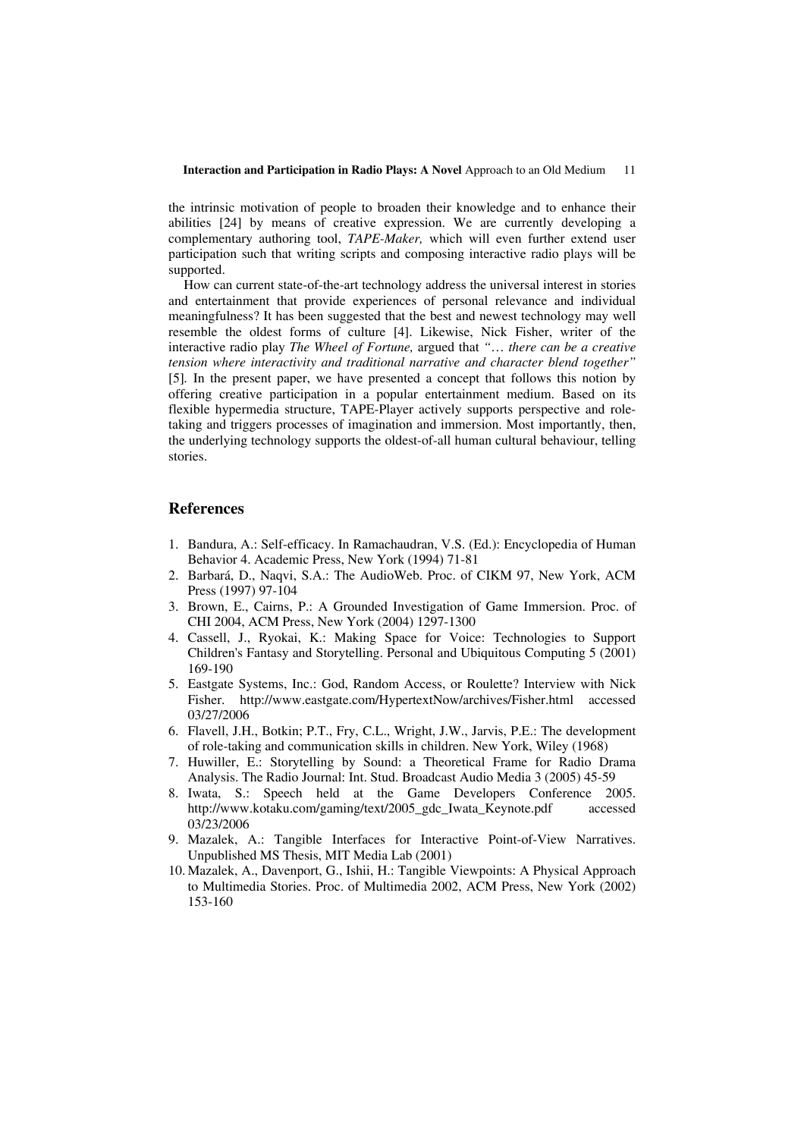the intrinsic motivation of people to broaden their knowledge and to enhance their abilities [24] by means of creative expression. We are currently developing a complementary authoring tool, *TAPE-Maker,* which will even further extend user participation such that writing scripts and composing interactive radio plays will be supported.

How can current state-of-the-art technology address the universal interest in stories and entertainment that provide experiences of personal relevance and individual meaningfulness? It has been suggested that the best and newest technology may well resemble the oldest forms of culture [4]. Likewise, Nick Fisher, writer of the interactive radio play *The Wheel of Fortune,* argued that *"*… *there can be a creative tension where interactivity and traditional narrative and character blend together"*  [5]*.* In the present paper, we have presented a concept that follows this notion by offering creative participation in a popular entertainment medium. Based on its flexible hypermedia structure, TAPE-Player actively supports perspective and roletaking and triggers processes of imagination and immersion. Most importantly, then, the underlying technology supports the oldest-of-all human cultural behaviour, telling stories.

# **References**

- 1. Bandura, A.: Self-efficacy. In Ramachaudran, V.S. (Ed.): Encyclopedia of Human Behavior 4. Academic Press, New York (1994) 71-81
- 2. Barbará, D., Naqvi, S.A.: The AudioWeb. Proc. of CIKM 97, New York, ACM Press (1997) 97-104
- 3. Brown, E., Cairns, P.: A Grounded Investigation of Game Immersion. Proc. of CHI 2004, ACM Press, New York (2004) 1297-1300
- 4. Cassell, J., Ryokai, K.: Making Space for Voice: Technologies to Support Children's Fantasy and Storytelling. Personal and Ubiquitous Computing 5 (2001) 169-190
- 5. Eastgate Systems, Inc.: God, Random Access, or Roulette? Interview with Nick Fisher. http://www.eastgate.com/HypertextNow/archives/Fisher.html accessed 03/27/2006
- 6. Flavell, J.H., Botkin; P.T., Fry, C.L., Wright, J.W., Jarvis, P.E.: The development of role-taking and communication skills in children. New York, Wiley (1968)
- 7. Huwiller, E.: Storytelling by Sound: a Theoretical Frame for Radio Drama Analysis. The Radio Journal: Int. Stud. Broadcast Audio Media 3 (2005) 45-59
- 8. Iwata, S.: Speech held at the Game Developers Conference 2005. http://www.kotaku.com/gaming/text/2005\_gdc\_Iwata\_Keynote.pdf accessed 03/23/2006
- 9. Mazalek, A.: Tangible Interfaces for Interactive Point-of-View Narratives. Unpublished MS Thesis, MIT Media Lab (2001)
- 10. Mazalek, A., Davenport, G., Ishii, H.: Tangible Viewpoints: A Physical Approach to Multimedia Stories. Proc. of Multimedia 2002, ACM Press, New York (2002) 153-160